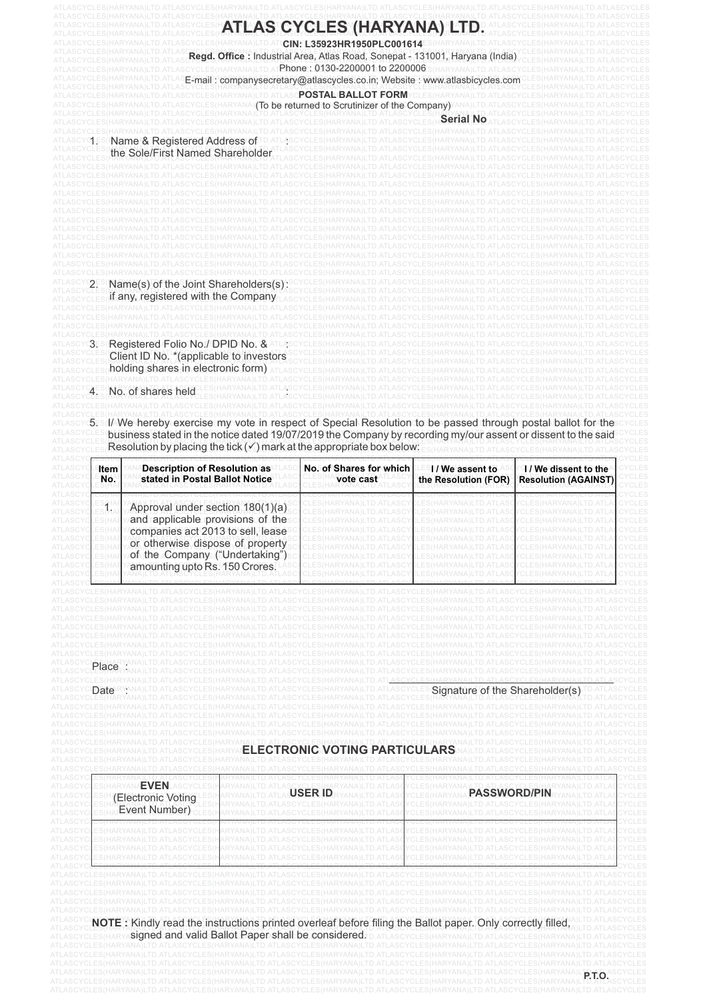|                                                                              |                                                                                                                                                                                                                   |            | ASCPOSTAL BALLOT FORMY<br>To be returned to Scrutinizer of the Company)                                                                                                                                                                                                                                        |                                        |                                                           |
|------------------------------------------------------------------------------|-------------------------------------------------------------------------------------------------------------------------------------------------------------------------------------------------------------------|------------|----------------------------------------------------------------------------------------------------------------------------------------------------------------------------------------------------------------------------------------------------------------------------------------------------------------|----------------------------------------|-----------------------------------------------------------|
|                                                                              |                                                                                                                                                                                                                   |            |                                                                                                                                                                                                                                                                                                                |                                        |                                                           |
|                                                                              | Name & Registered Address of<br>the Sole/First Named Shareholder                                                                                                                                                  |            |                                                                                                                                                                                                                                                                                                                |                                        |                                                           |
|                                                                              | Name(s) of the Joint Shareholders(s):<br>if any, registered with the Company                                                                                                                                      |            |                                                                                                                                                                                                                                                                                                                |                                        |                                                           |
|                                                                              | 3ES (Registered Folio No./DPID No. &<br>Client ID No. * (applicable to investors<br>holding shares in electronic form)                                                                                            |            |                                                                                                                                                                                                                                                                                                                |                                        |                                                           |
|                                                                              | HARYANA)LTD.ATLASCYCLES(HA<br>No. of shares held                                                                                                                                                                  |            |                                                                                                                                                                                                                                                                                                                |                                        |                                                           |
|                                                                              |                                                                                                                                                                                                                   |            | 5. MVe hereby exercise my vote in respect of Special Resolution to be passed through postal ballot for the<br>business stated in the notice dated 19/07/2019 the Company by recording my/our assent or dissent to the said<br>Resolution by placing the tick $(\checkmark)$ mark at the appropriate box below: |                                        |                                                           |
| Item<br>No.                                                                  | <b>Description of Resolution as</b><br>stated in Postal Ballot Notice                                                                                                                                             |            | No. of Shares for which<br>vote cast                                                                                                                                                                                                                                                                           | I/We assent to<br>the Resolution (FOR) | <b>1/We dissent to the</b><br><b>Resolution (AGAINST)</b> |
| ES(HA<br>ES(HA<br>ES(HA<br>:S(HA                                             | Approval under section 180(1)(a)<br>and applicable provisions of the<br>companies act 2013 to sell, lease<br>or otherwise dispose of property<br>of the Company ("Undertaking")<br>amounting upto Rs. 150 Crores. |            | .RYANA)LI D.AI LASC                                                                                                                                                                                                                                                                                            | HARYANA)LI D.AI LAS                    |                                                           |
| Place<br>ASCYCLES(HARYANA<br>Date RYANA)<br>CLES (HARYAN                     |                                                                                                                                                                                                                   | ELECTRONIC | ES(HARYANA)LTD.ATLASCYCLES(HARYANA)LTD.ATLASCYCLES(<br>HARYANA)LTD.ATLASCYCLES(HARYANA)LTD.ATLASCYCLES(<br>HARYANA)LTD.ATLASCYCLES(HARYANA)LTD<br>'HARYANA)LTD.ATLASCYCLES(HARYANA)LTD.AT<br>NG                                                                                                                | Signature of the Shareholder(s)        |                                                           |
| .S(HARYANA)                                                                  | YCLES(                                                                                                                                                                                                            |            |                                                                                                                                                                                                                                                                                                                |                                        |                                                           |
| ES(HARYANA <b>EVEN</b> L<br>ASCYCLES(<br>(Electronic Voting<br>Event Number) |                                                                                                                                                                                                                   |            | <b>PASSWORD/PIN</b>                                                                                                                                                                                                                                                                                            |                                        |                                                           |
|                                                                              |                                                                                                                                                                                                                   |            |                                                                                                                                                                                                                                                                                                                |                                        |                                                           |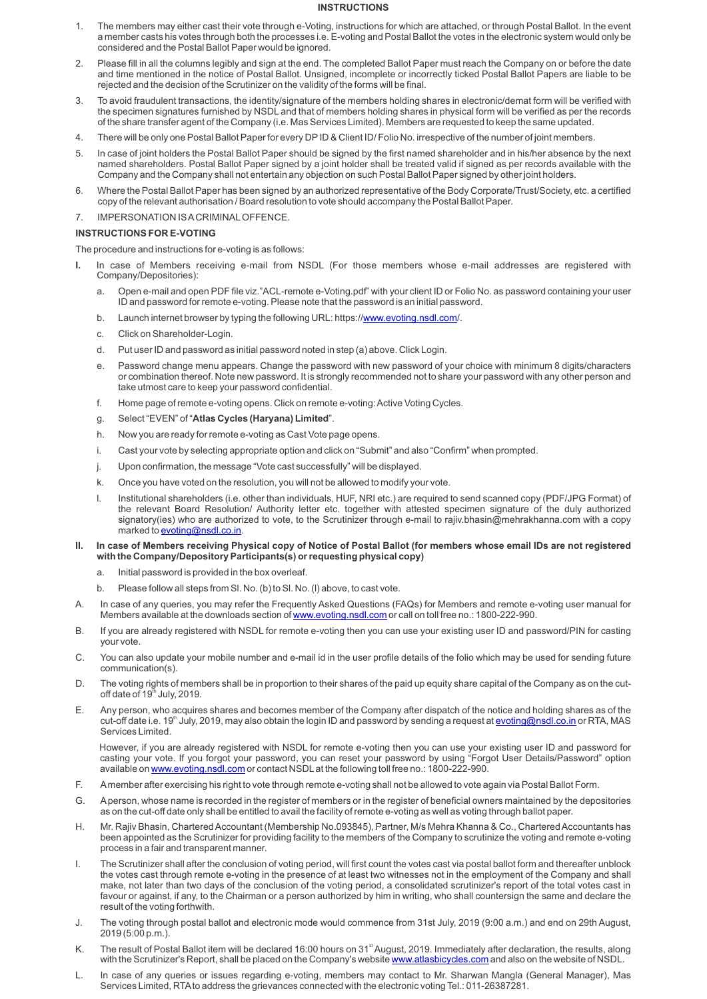### **INSTRUCTIONS**

- 1. The members may either cast their vote through e-Voting, instructions for which are attached, or through Postal Ballot. In the event a member casts his votes through both the processes i.e. E-voting and Postal Ballot the votes in the electronic system would only be considered and the Postal Ballot Paper would be ignored.
- 2. Please fill in all the columns legibly and sign at the end. The completed Ballot Paper must reach the Company on or before the date and time mentioned in the notice of Postal Ballot. Unsigned, incomplete or incorrectly ticked Postal Ballot Papers are liable to be rejected and the decision of the Scrutinizer on the validity of the forms will be final.
- 3. To avoid fraudulent transactions, the identity/signature of the members holding shares in electronic/demat form will be verified with the specimen signatures furnished by NSDL and that of members holding shares in physical form will be verified as per the records of the share transfer agent of the Company (i.e. Mas Services Limited). Members are requested to keep the same updated.
- 4. There will be only one Postal Ballot Paper for every DPID & Client ID/ Folio No. irrespective of the number of joint members.
- 5. In case of joint holders the Postal Ballot Paper should be signed by the first named shareholder and in his/her absence by the next named shareholders. Postal Ballot Paper signed by a joint holder shall be treated valid if signed as per records available with the Company and the Company shall not entertain any objection on such Postal Ballot Paper signed by other joint holders.
- 6. Where the Postal Ballot Paper has been signed by an authorized representative of the Body Corporate/Trust/Society, etc. a certified copy of the relevant authorisation / Board resolution to vote should accompany the Postal Ballot Paper.
- 7. IMPERSONATION IS ACRIMINALOFFENCE.

### **INSTRUCTIONS FOR E-VOTING**

The procedure and instructions for e-voting is as follows:

- In case of Members receiving e-mail from NSDL (For those members whose e-mail addresses are registered with Company/Depositories):
	- a. Open e-mail and open PDF file viz."ACL-remote e-Voting.pdf" with your client ID or Folio No. as password containing your user ID and password for remote e-voting. Please note that the password is an initial password.
	- b. Launch internet browser by typing the following URL: https:/[/www.evoting.nsdl.com](http://www.evoting.nsdl.com)/
	- c. Click on Shareholder-Login.
	- d. Put user ID and password as initial password noted in step (a) above. Click Login.
	- e. Password change menu appears. Change the password with new password of your choice with minimum 8 digits/characters or combination thereof. Note new password. It is strongly recommended not to share your password with any other person and take utmost care to keep your password confidential.
	- f. Home page of remote e-voting opens. Click on remote e-voting: Active Voting Cycles.
	- g. Select "EVEN" of "**Atlas Cycles (Haryana) Limited**".
	- h. Now you are ready for remote e-voting as Cast Vote page opens.
	- i. Cast your vote by selecting appropriate option and click on "Submit" and also "Confirm" when prompted.
	- j. Upon confirmation, the message "Vote cast successfully" will be displayed.
	- k. Once you have voted on the resolution, you will not be allowed to modify your vote.
	- l. Institutional shareholders (i.e. other than individuals, HUF, NRI etc.) are required to send scanned copy (PDF/JPG Format) of the relevant Board Resolution/ Authority letter etc. together with attested specimen signature of the duly authorized signatory(ies) who are authorized to vote, to the Scrutinizer through e-mail to rajiv.bhasin@mehrakhanna.com with a copy marked to [evoting@nsdl.co.in](mailto:evoting@nsdl.co.in).
- **II. In case of Members receiving Physical copy of Notice of Postal Ballot (for members whose email IDs are not registered with the Company/Depository Participants(s) or requesting physical copy)**
	- a. Initial password is provided in the box overleaf.
	- b. Please follow all steps from Sl. No. (b) to Sl. No. (l) above, to cast vote.
- A. In case of any queries, you may refer the Frequently Asked Questions (FAQs) for Members and remote e-voting user manual for Members available at the downloads section of [www.evoting.nsdl.com](http://www.evoting.nsdl.com) or call on toll free no.: 1800-222-990.
- B. If you are already registered with NSDL for remote e-voting then you can use your existing user ID and password/PIN for casting your vote.
- C. You can also update your mobile number and e-mail id in the user profile details of the folio which may be used for sending future communication(s).
- D. The voting rights of members shall be in proportion to their shares of the paid up equity share capital of the Company as on the cutoff date of 19<sup>th</sup> July, 2019.
- E. Any person, who acquires shares and becomes member of the Company after dispatch of the notice and holding shares as of the cut-off date i.e. 19<sup>th</sup> July, 2019, may also obtain the login ID and password by sending a request at [evoting@nsdl.co.in](mailto:evoting@nsdl.co.in) or RTA, MAS Services Limited.

However, if you are already registered with NSDL for remote e-voting then you can use your existing user ID and password for casting your vote. If you forgot your password, you can reset your password by using "Forgot User Details/Password" option available on [www.evoting.nsdl.com](http://www.evoting.nsdl.com) or contact NSDLat the following toll free no.: 1800-222-990.

- F. Amember after exercising his right to vote through remote e-voting shall not be allowed to vote again via Postal Ballot Form.
- G. Aperson, whose name is recorded in the register of members or in the register of beneficial owners maintained by the depositories as on the cut-off date only shall be entitled to avail the facility of remote e-voting as well as voting through ballot paper.
- H. Mr. Rajiv Bhasin, Chartered Accountant (Membership No.093845), Partner, M/s Mehra Khanna & Co., Chartered Accountants has been appointed as the Scrutinizer for providing facility to the members of the Company to scrutinize the voting and remote e-voting process in a fair and transparent manner.
- I. The Scrutinizer shall after the conclusion of voting period, will first count the votes cast via postal ballot form and thereafter unblock the votes cast through remote e-voting in the presence of at least two witnesses not in the employment of the Company and shall make, not later than two days of the conclusion of the voting period, a consolidated scrutinizer's report of the total votes cast in favour or against, if any, to the Chairman or a person authorized by him in writing, who shall countersign the same and declare the result of the voting forthwith.
- J. The voting through postal ballot and electronic mode would commence from 31st July, 2019 (9:00 a.m.) and end on 29th August, 2019 (5:00 p.m.).
- K. The result of Postal Ballot item will be declared 16:00 hours on 31<sup>st</sup> August, 2019. Immediately after declaration, the results, along with the Scrutinizer's Report, shall be placed on the Company's website [www.atlasbicycles.com](http://www.atlasbicycles.com) and also on the website of NSDL.
- L. In case of any queries or issues regarding e-voting, members may contact to Mr. Sharwan Mangla (General Manager), Mas Services Limited, RTAto address the grievances connected with the electronic voting Tel.: 011-26387281.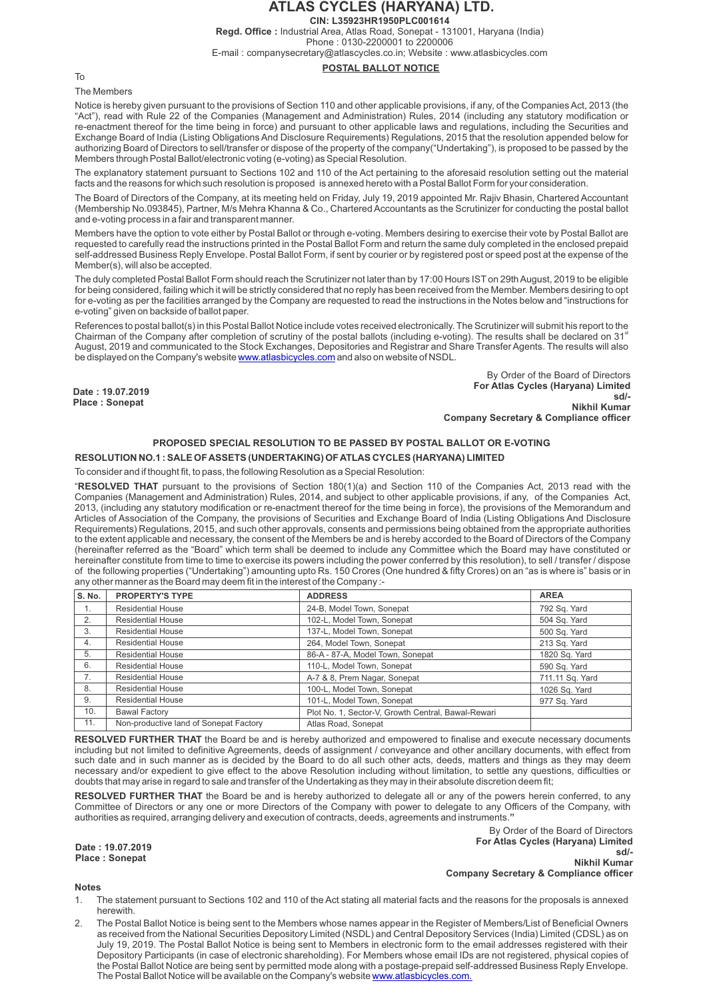## **ATLAS CYCLES (HARYANA) LTD. CIN: L35923HR1950PLC001614**

**Regd. Office :** Industrial Area, Atlas Road, Sonepat - 131001, Haryana (India) Phone : 0130-2200001 to 2200006

E-mail : companysecretary@atlascycles.co.in; Website : www.atlasbicycles.com

**POSTAL BALLOT NOTICE**

To

The Members

**Date : 19.07.2019 Place : Sonepat**

Notice is hereby given pursuant to the provisions of Section 110 and other applicable provisions, if any, of the Companies Act, 2013 (the "Act"), read with Rule 22 of the Companies (Management and Administration) Rules, 2014 (including any statutory modification or re-enactment thereof for the time being in force) and pursuant to other applicable laws and regulations, including the Securities and Exchange Board of India (Listing Obligations And Disclosure Requirements) Regulations, 2015 that the resolution appended below for authorizing Board of Directors to sell/transfer or dispose of the property of the company("Undertaking"), is proposed to be passed by the Members through Postal Ballot/electronic voting (e-voting) as Special Resolution.

The explanatory statement pursuant to Sections 102 and 110 of the Act pertaining to the aforesaid resolution setting out the material facts and the reasons for which such resolution is proposed is annexed hereto with a Postal Ballot Form for your consideration.

The Board of Directors of the Company, at its meeting held on Friday, July 19, 2019 appointed Mr. Rajiv Bhasin, Chartered Accountant (Membership No.093845), Partner, M/s Mehra Khanna & Co., Chartered Accountants as the Scrutinizer for conducting the postal ballot and e-voting process in a fair and transparent manner.

Members have the option to vote either by Postal Ballot or through e-voting. Members desiring to exercise their vote by Postal Ballot are requested to carefully read the instructions printed in the Postal Ballot Form and return the same duly completed in the enclosed prepaid self-addressed Business Reply Envelope. Postal Ballot Form, if sent by courier or by registered post or speed post at the expense of the Member(s), will also be accepted.

The duly completed Postal Ballot Form should reach the Scrutinizer not later than by 17:00 Hours IST on 29th August, 2019 to be eligible for being considered, failing which it will be strictly considered that no reply has been received from the Member. Members desiring to opt for e-voting as per the facilities arranged by the Company are requested to read the instructions in the Notes below and "instructions for e-voting" given on backside of ballot paper.

References to postal ballot(s) in this Postal Ballot Notice include votes received electronically. The Scrutinizer will submit his report to the Chairman of the Company after completion of scrutiny of the postal ballots (including e-voting). The results shall be declared on 31<sup>st</sup> August, 2019 and communicated to the Stock Exchanges, Depositories and Registrar and Share Transfer Agents. The results will also be displayed on the Company's website [www.atlasbicycles.com](http://www.atlasbicycles.com/) and also on website of NSDL.

> By Order of the Board of Directors **For Atlas Cycles (Haryana) Limited sd/-**

**Nikhil Kumar Company Secretary & Compliance officer**

### **PROPOSED SPECIAL RESOLUTION TO BE PASSED BY POSTAL BALLOT OR E-VOTING**

**RESOLUTION NO.1 : SALE OF ASSETS (UNDERTAKING) OF ATLAS CYCLES (HARYANA) LIMITED**

To consider and if thought fit, to pass, the following Resolution as a Special Resolution:

"**RESOLVED THAT** pursuant to the provisions of Section 180(1)(a) and Section 110 of the Companies Act, 2013 read with the Companies (Management and Administration) Rules, 2014, and subject to other applicable provisions, if any, of the Companies Act, 2013, (including any statutory modification or re-enactment thereof for the time being in force), the provisions of the Memorandum and Articles of Association of the Company, the provisions of Securities and Exchange Board of India (Listing Obligations And Disclosure Requirements) Regulations, 2015, and such other approvals, consents and permissions being obtained from the appropriate authorities to the extent applicable and necessary, the consent of the Members be and is hereby accorded to the Board of Directors of the Company (hereinafter referred as the "Board" which term shall be deemed to include any Committee which the Board may have constituted or hereinafter constitute from time to time to exercise its powers including the power conferred by this resolution), to sell / transfer / dispose of the following properties ("Undertaking") amounting upto Rs. 150 Crores (One hundred & fifty Crores) on an "as is where is" basis or in any other manner as the Board may deem fit in the interest of the Company :-

| S. No. | <b>PROPERTY'S TYPE</b>                 | <b>ADDRESS</b>                                     | <b>AREA</b>     |
|--------|----------------------------------------|----------------------------------------------------|-----------------|
| 1.     | <b>Residential House</b>               | 24-B, Model Town, Sonepat                          | 792 Sq. Yard    |
| 2.     | <b>Residential House</b>               | 102-L, Model Town, Sonepat                         | 504 Sq. Yard    |
| 3.     | <b>Residential House</b>               | 137-L, Model Town, Sonepat                         | 500 Sq. Yard    |
| 4.     | <b>Residential House</b>               | 264, Model Town, Sonepat                           | 213 Sq. Yard    |
| 5.     | <b>Residential House</b>               | 86-A - 87-A, Model Town, Sonepat                   | 1820 Sq. Yard   |
| 6.     | <b>Residential House</b>               | 110-L, Model Town, Sonepat                         | 590 Sq. Yard    |
| 7.     | <b>Residential House</b>               | A-7 & 8, Prem Nagar, Sonepat                       | 711.11 Sq. Yard |
| 8.     | <b>Residential House</b>               | 100-L. Model Town. Sonepat                         | 1026 Sq. Yard   |
| 9.     | <b>Residential House</b>               | 101-L, Model Town, Sonepat                         | 977 Sq. Yard    |
| 10.    | <b>Bawal Factory</b>                   | Plot No. 1, Sector-V, Growth Central, Bawal-Rewari |                 |
| 11.    | Non-productive land of Sonepat Factory | Atlas Road, Sonepat                                |                 |

**RESOLVED FURTHER THAT** the Board be and is hereby authorized and empowered to finalise and execute necessary documents including but not limited to definitive Agreements, deeds of assignment / conveyance and other ancillary documents, with effect from such date and in such manner as is decided by the Board to do all such other acts, deeds, matters and things as they may deem necessary and/or expedient to give effect to the above Resolution including without limitation, to settle any questions, difficulties or doubts that may arise in regard to sale and transfer of the Undertaking as they may in their absolute discretion deem fit;

**RESOLVED FURTHER THAT** the Board be and is hereby authorized to delegate all or any of the powers herein conferred, to any Committee of Directors or any one or more Directors of the Company with power to delegate to any Officers of the Company, with authorities as required, arranging delivery and execution of contracts, deeds, agreements and instruments.**"**

**Date : 19.07.2019 Place : Sonepat**

By Order of the Board of Directors **For Atlas Cycles (Haryana) Limited sd/- Nikhil Kumar Company Secretary & Compliance officer**

**Notes**

- 1. The statement pursuant to Sections 102 and 110 of the Act stating all material facts and the reasons for the proposals is annexed herewith.
- 2. The Postal Ballot Notice is being sent to the Members whose names appear in the Register of Members/List of Beneficial Owners as received from the National Securities Depository Limited (NSDL) and Central Depository Services (India) Limited (CDSL) as on July 19, 2019. The Postal Ballot Notice is being sent to Members in electronic form to the email addresses registered with their Depository Participants (in case of electronic shareholding). For Members whose email IDs are not registered, physical copies of the Postal Ballot Notice are being sent by permitted mode along with a postage-prepaid self-addressed Business Reply Envelope. The Postal Ballot Notice will be available on the Company's website [www.atlasbicycles.com.](http://www.atlasbicycles.com/)